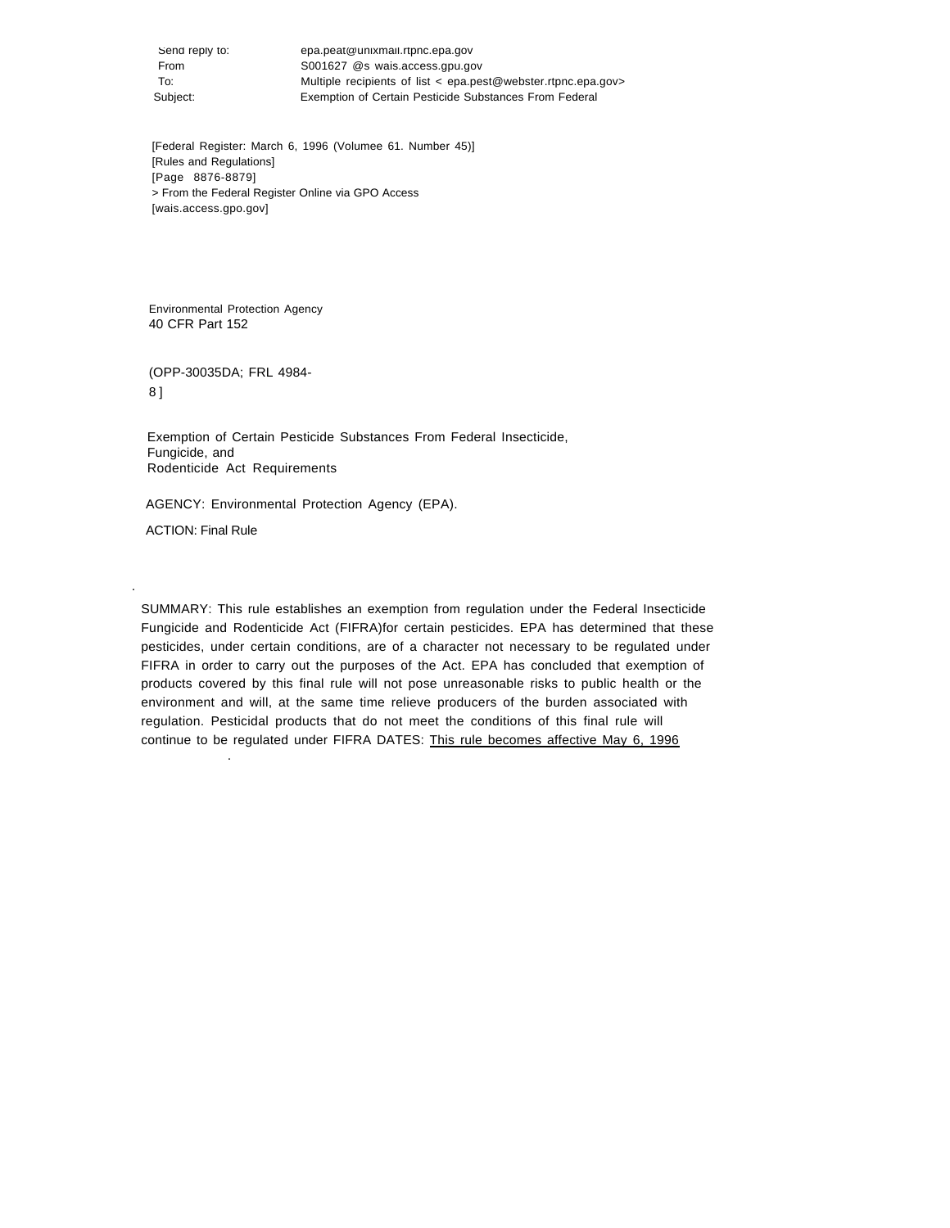Send reply to: epa.peat@unixmail.rtpnc.epa.gov From S001627 @s wais.access.gpu.gov To: Multiple recipients of list < epa.pest@webster.rtpnc.epa.gov> Subject: Exemption of Certain Pesticide Substances From Federal

[Federal Register: March 6, 1996 (Volumee 61. Number 45)] [Rules and Regulations] [Page 8876-8879] > From the Federal Register Online via GPO Access [wais.access.gpo.gov]

Environmental Protection Agency 40 CFR Part 152

(OPP-30035DA; FRL 4984- 8 ]

Exemption of Certain Pesticide Substances From Federal Insecticide, Fungicide, and Rodenticide Act Requirements

AGENCY: Environmental Protection Agency (EPA).

ACTION: Final Rule

.

.

SUMMARY: This rule establishes an exemption from regulation under the Federal Insecticide Fungicide and Rodenticide Act (FIFRA)for certain pesticides. EPA has determined that these pesticides, under certain conditions, are of a character not necessary to be regulated under FIFRA in order to carry out the purposes of the Act. EPA has concluded that exemption of products covered by this final rule will not pose unreasonable risks to public health or the environment and will, at the same time relieve producers of the burden associated with regulation. Pesticidal products that do not meet the conditions of this final rule will continue to be regulated under FIFRA DATES: This rule becomes affective May 6, 1996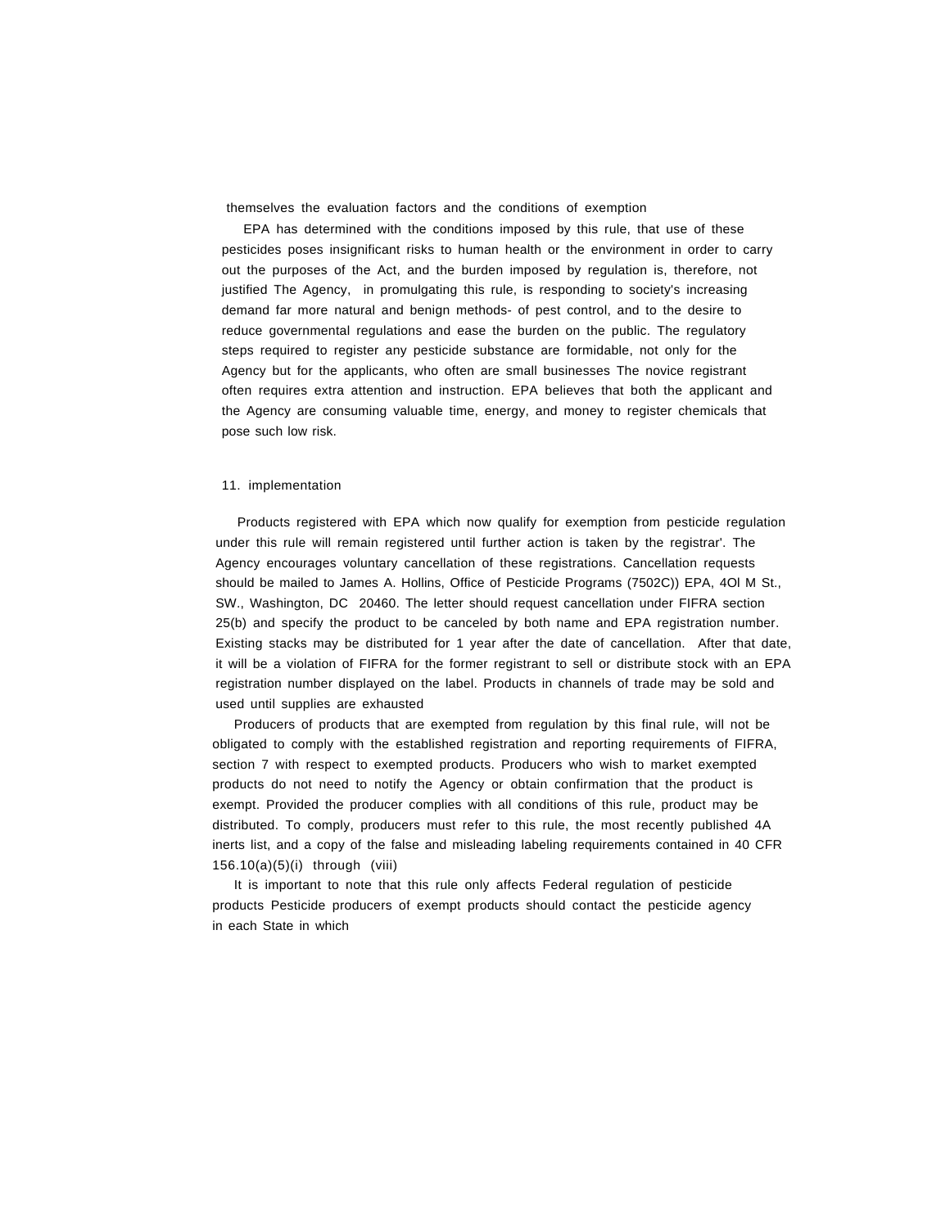themselves the evaluation factors and the conditions of exemption

EPA has determined with the conditions imposed by this rule, that use of these pesticides poses insignificant risks to human health or the environment in order to carry out the purposes of the Act, and the burden imposed by regulation is, therefore, not justified The Agency, in promulgating this rule, is responding to society's increasing demand far more natural and benign methods- of pest control, and to the desire to reduce governmental regulations and ease the burden on the public. The regulatory steps required to register any pesticide substance are formidable, not only for the Agency but for the applicants, who often are small businesses The novice registrant often requires extra attention and instruction. EPA believes that both the applicant and the Agency are consuming valuable time, energy, and money to register chemicals that pose such low risk.

### 11. implementation

Products registered with EPA which now qualify for exemption from pesticide regulation under this rule will remain registered until further action is taken by the registrar'. The Agency encourages voluntary cancellation of these registrations. Cancellation requests should be mailed to James A. Hollins, Office of Pesticide Programs (7502C)) EPA, 4Ol M St., SW., Washington, DC 20460. The letter should request cancellation under FIFRA section 25(b) and specify the product to be canceled by both name and EPA registration number. Existing stacks may be distributed for 1 year after the date of cancellation. After that date, it will be a violation of FIFRA for the former registrant to sell or distribute stock with an EPA registration number displayed on the label. Products in channels of trade may be sold and used until supplies are exhausted

Producers of products that are exempted from regulation by this final rule, will not be obligated to comply with the established registration and reporting requirements of FIFRA, section 7 with respect to exempted products. Producers who wish to market exempted products do not need to notify the Agency or obtain confirmation that the product is exempt. Provided the producer complies with all conditions of this rule, product may be distributed. To comply, producers must refer to this rule, the most recently published 4A inerts list, and a copy of the false and misleading labeling requirements contained in 40 CFR 156.10(a)(5)(i) through (viii)

It is important to note that this rule only affects Federal regulation of pesticide products Pesticide producers of exempt products should contact the pesticide agency in each State in which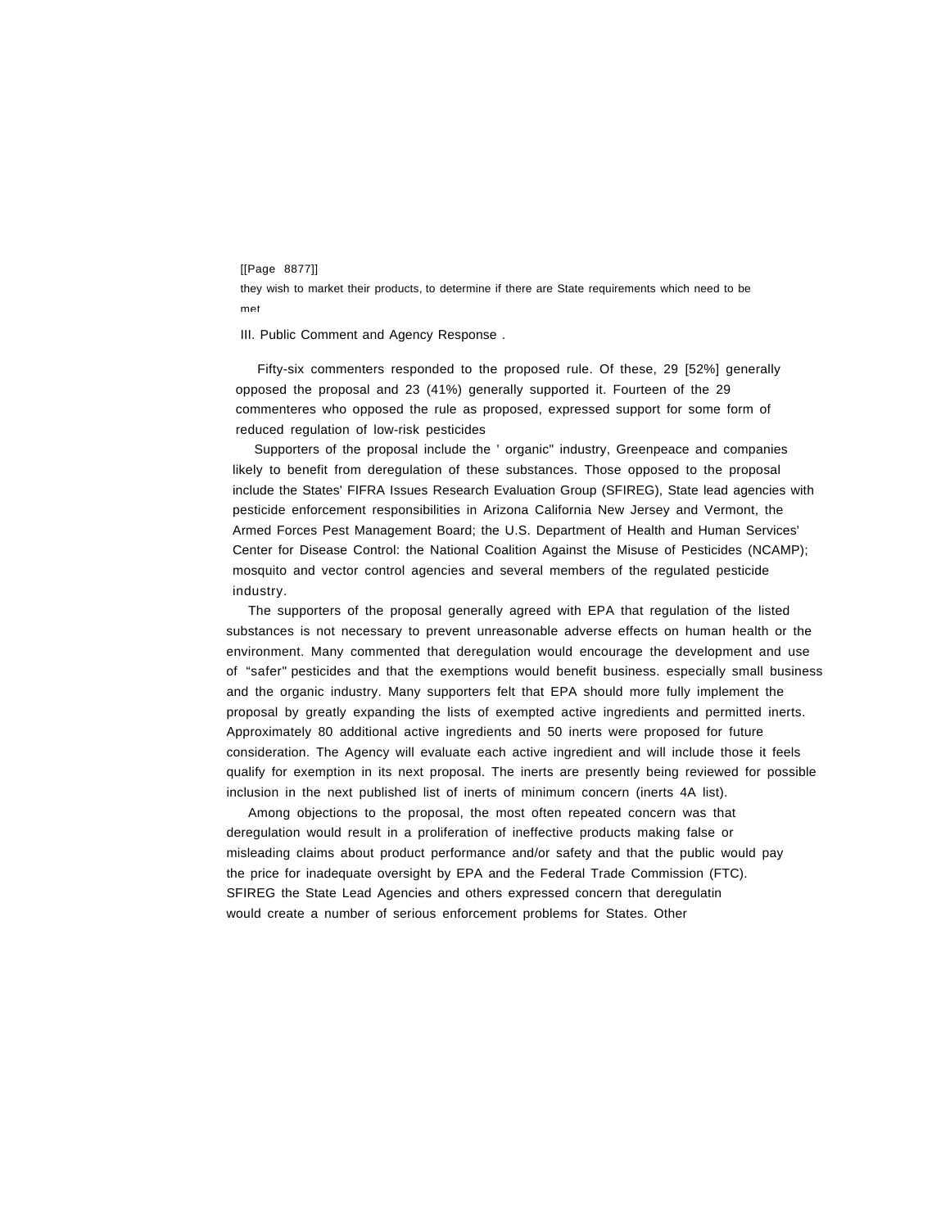#### [[Page 8877]]

they wish to market their products, to determine if there are State requirements which need to be met

III. Public Comment and Agency Response .

Fifty-six commenters responded to the proposed rule. Of these, 29 [52%] generally opposed the proposal and 23 (41%) generally supported it. Fourteen of the 29 commenteres who opposed the rule as proposed, expressed support for some form of reduced regulation of low-risk pesticides

Supporters of the proposal include the ' organic" industry, Greenpeace and companies likely to benefit from deregulation of these substances. Those opposed to the proposal include the States' FIFRA Issues Research Evaluation Group (SFIREG), State lead agencies with pesticide enforcement responsibilities in Arizona California New Jersey and Vermont, the Armed Forces Pest Management Board; the U.S. Department of Health and Human Services' Center for Disease Control: the National Coalition Against the Misuse of Pesticides (NCAMP); mosquito and vector control agencies and several members of the regulated pesticide industry.

The supporters of the proposal generally agreed with EPA that regulation of the listed substances is not necessary to prevent unreasonable adverse effects on human health or the environment. Many commented that deregulation would encourage the development and use of "safer" pesticides and that the exemptions would benefit business. especially small business and the organic industry. Many supporters felt that EPA should more fully implement the proposal by greatly expanding the lists of exempted active ingredients and permitted inerts. Approximately 80 additional active ingredients and 50 inerts were proposed for future consideration. The Agency will evaluate each active ingredient and will include those it feels qualify for exemption in its next proposal. The inerts are presently being reviewed for possible inclusion in the next published list of inerts of minimum concern (inerts 4A list).

Among objections to the proposal, the most often repeated concern was that deregulation would result in a proliferation of ineffective products making false or misleading claims about product performance and/or safety and that the public would pay the price for inadequate oversight by EPA and the Federal Trade Commission (FTC). SFIREG the State Lead Agencies and others expressed concern that deregulatin would create a number of serious enforcement problems for States. Other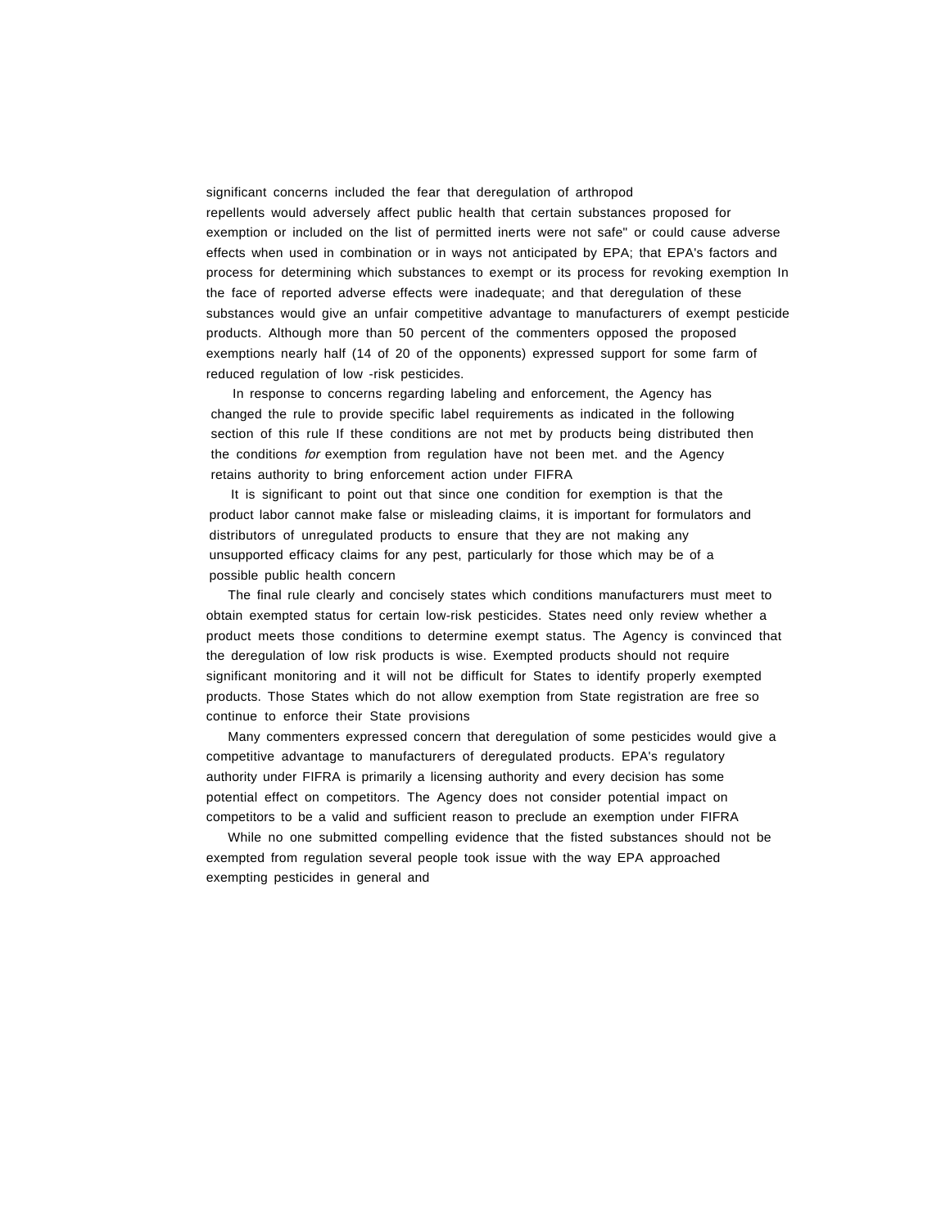significant concerns included the fear that deregulation of arthropod repellents would adversely affect public health that certain substances proposed for exemption or included on the list of permitted inerts were not safe" or could cause adverse effects when used in combination or in ways not anticipated by EPA; that EPA's factors and process for determining which substances to exempt or its process for revoking exemption In the face of reported adverse effects were inadequate; and that deregulation of these substances would give an unfair competitive advantage to manufacturers of exempt pesticide products. Although more than 50 percent of the commenters opposed the proposed exemptions nearly half (14 of 20 of the opponents) expressed support for some farm of reduced regulation of low -risk pesticides.

In response to concerns regarding labeling and enforcement, the Agency has changed the rule to provide specific label requirements as indicated in the following section of this rule If these conditions are not met by products being distributed then the conditions for exemption from regulation have not been met. and the Agency retains authority to bring enforcement action under FIFRA

It is significant to point out that since one condition for exemption is that the product labor cannot make false or misleading claims, it is important for formulators and distributors of unregulated products to ensure that they are not making any unsupported efficacy claims for any pest, particularly for those which may be of a possible public health concern

The final rule clearly and concisely states which conditions manufacturers must meet to obtain exempted status for certain low-risk pesticides. States need only review whether a product meets those conditions to determine exempt status. The Agency is convinced that the deregulation of low risk products is wise. Exempted products should not require significant monitoring and it will not be difficult for States to identify properly exempted products. Those States which do not allow exemption from State registration are free so continue to enforce their State provisions

Many commenters expressed concern that deregulation of some pesticides would give a competitive advantage to manufacturers of deregulated products. EPA's regulatory authority under FIFRA is primarily a licensing authority and every decision has some potential effect on competitors. The Agency does not consider potential impact on competitors to be a valid and sufficient reason to preclude an exemption under FIFRA

While no one submitted compelling evidence that the fisted substances should not be exempted from regulation several people took issue with the way EPA approached exempting pesticides in general and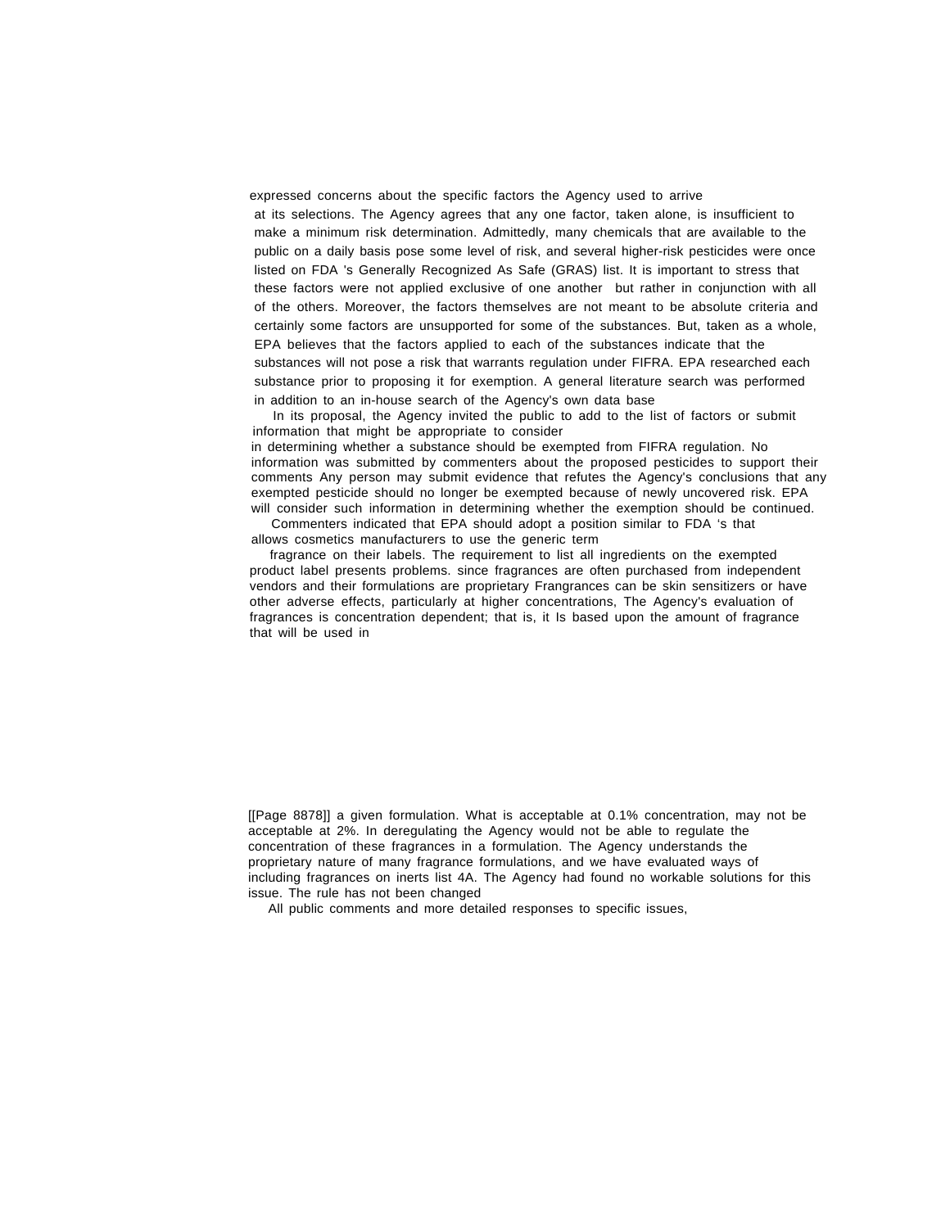expressed concerns about the specific factors the Agency used to arrive at its selections. The Agency agrees that any one factor, taken alone, is insufficient to make a minimum risk determination. Admittedly, many chemicals that are available to the public on a daily basis pose some level of risk, and several higher-risk pesticides were once listed on FDA 's Generally Recognized As Safe (GRAS) list. It is important to stress that these factors were not applied exclusive of one another but rather in conjunction with all of the others. Moreover, the factors themselves are not meant to be absolute criteria and certainly some factors are unsupported for some of the substances. But, taken as a whole, EPA believes that the factors applied to each of the substances indicate that the substances will not pose a risk that warrants regulation under FIFRA. EPA researched each substance prior to proposing it for exemption. A general literature search was performed in addition to an in-house search of the Agency's own data base

In its proposal, the Agency invited the public to add to the list of factors or submit information that might be appropriate to consider

in determining whether a substance should be exempted from FIFRA regulation. No information was submitted by commenters about the proposed pesticides to support their comments Any person may submit evidence that refutes the Agency's conclusions that any exempted pesticide should no longer be exempted because of newly uncovered risk. EPA will consider such information in determining whether the exemption should be continued.

Commenters indicated that EPA should adopt a position similar to FDA 's that allows cosmetics manufacturers to use the generic term

fragrance on their labels. The requirement to list all ingredients on the exempted product label presents problems. since fragrances are often purchased from independent vendors and their formulations are proprietary Frangrances can be skin sensitizers or have other adverse effects, particularly at higher concentrations, The Agency's evaluation of fragrances is concentration dependent; that is, it Is based upon the amount of fragrance that will be used in

[[Page 8878]] a given formulation. What is acceptable at 0.1% concentration, may not be acceptable at 2%. In deregulating the Agency would not be able to regulate the concentration of these fragrances in a formulation. The Agency understands the proprietary nature of many fragrance formulations, and we have evaluated ways of including fragrances on inerts list 4A. The Agency had found no workable solutions for this issue. The rule has not been changed

All public comments and more detailed responses to specific issues,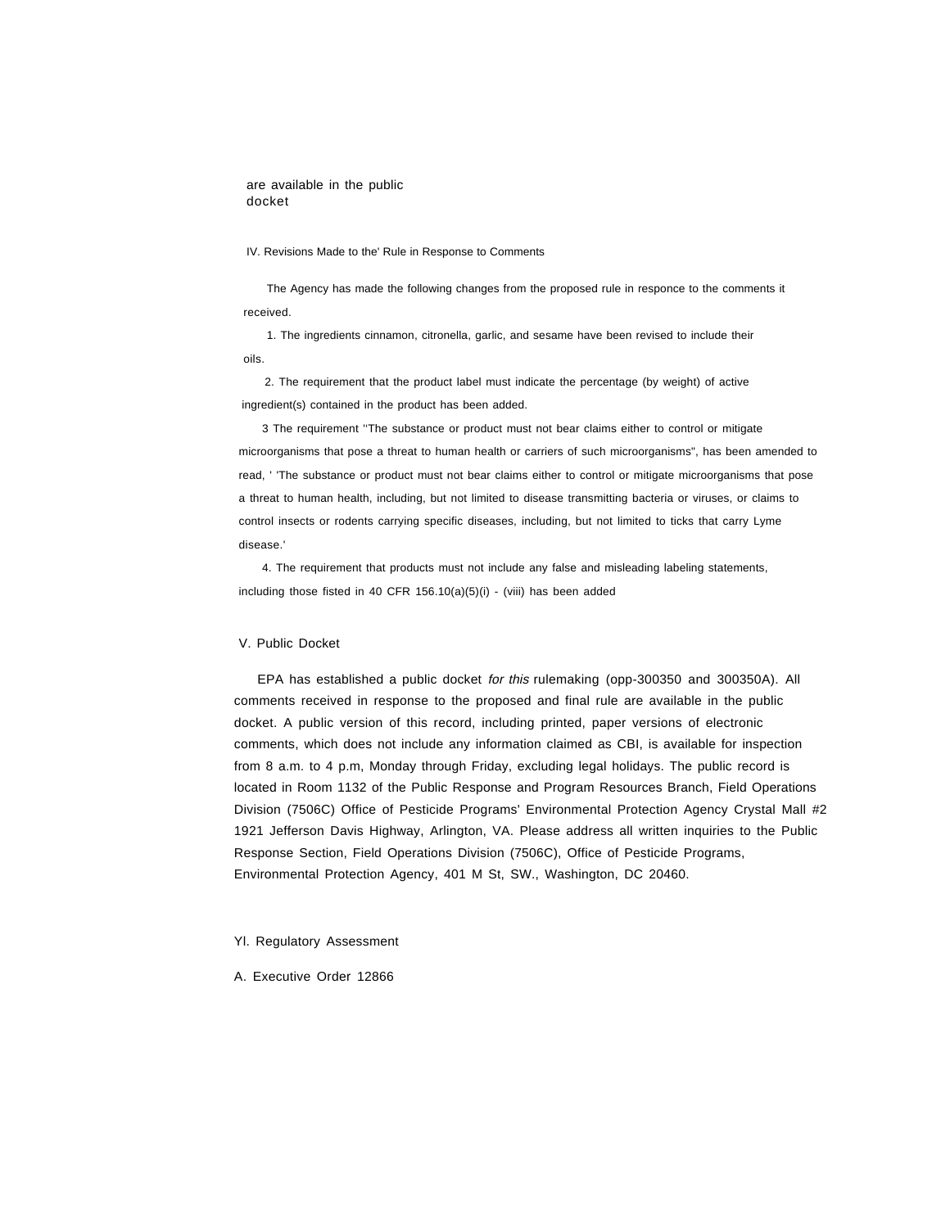are available in the public docket

#### IV. Revisions Made to the' Rule in Response to Comments

The Agency has made the following changes from the proposed rule in responce to the comments it received.

1. The ingredients cinnamon, citronella, garlic, and sesame have been revised to include their oils.

2. The requirement that the product label must indicate the percentage (by weight) of active ingredient(s) contained in the product has been added.

3 The requirement ''The substance or product must not bear claims either to control or mitigate microorganisms that pose a threat to human health or carriers of such microorganisms", has been amended to read, ' 'The substance or product must not bear claims either to control or mitigate microorganisms that pose a threat to human health, including, but not limited to disease transmitting bacteria or viruses, or claims to control insects or rodents carrying specific diseases, including, but not limited to ticks that carry Lyme disease.'

4. The requirement that products must not include any false and misleading labeling statements, including those fisted in 40 CFR 156.10(a)(5)(i) - (viii) has been added

### V. Public Docket

EPA has established a public docket for this rulemaking (opp-300350 and 300350A). All comments received in response to the proposed and final rule are available in the public docket. A public version of this record, including printed, paper versions of electronic comments, which does not include any information claimed as CBI, is available for inspection from 8 a.m. to 4 p.m, Monday through Friday, excluding legal holidays. The public record is located in Room 1132 of the Public Response and Program Resources Branch, Field Operations Division (7506C) Office of Pesticide Programs' Environmental Protection Agency Crystal Mall #2 1921 Jefferson Davis Highway, Arlington, VA. Please address all written inquiries to the Public Response Section, Field Operations Division (7506C), Office of Pesticide Programs, Environmental Protection Agency, 401 M St, SW., Washington, DC 20460.

#### Yl. Regulatory Assessment

A. Executive Order 12866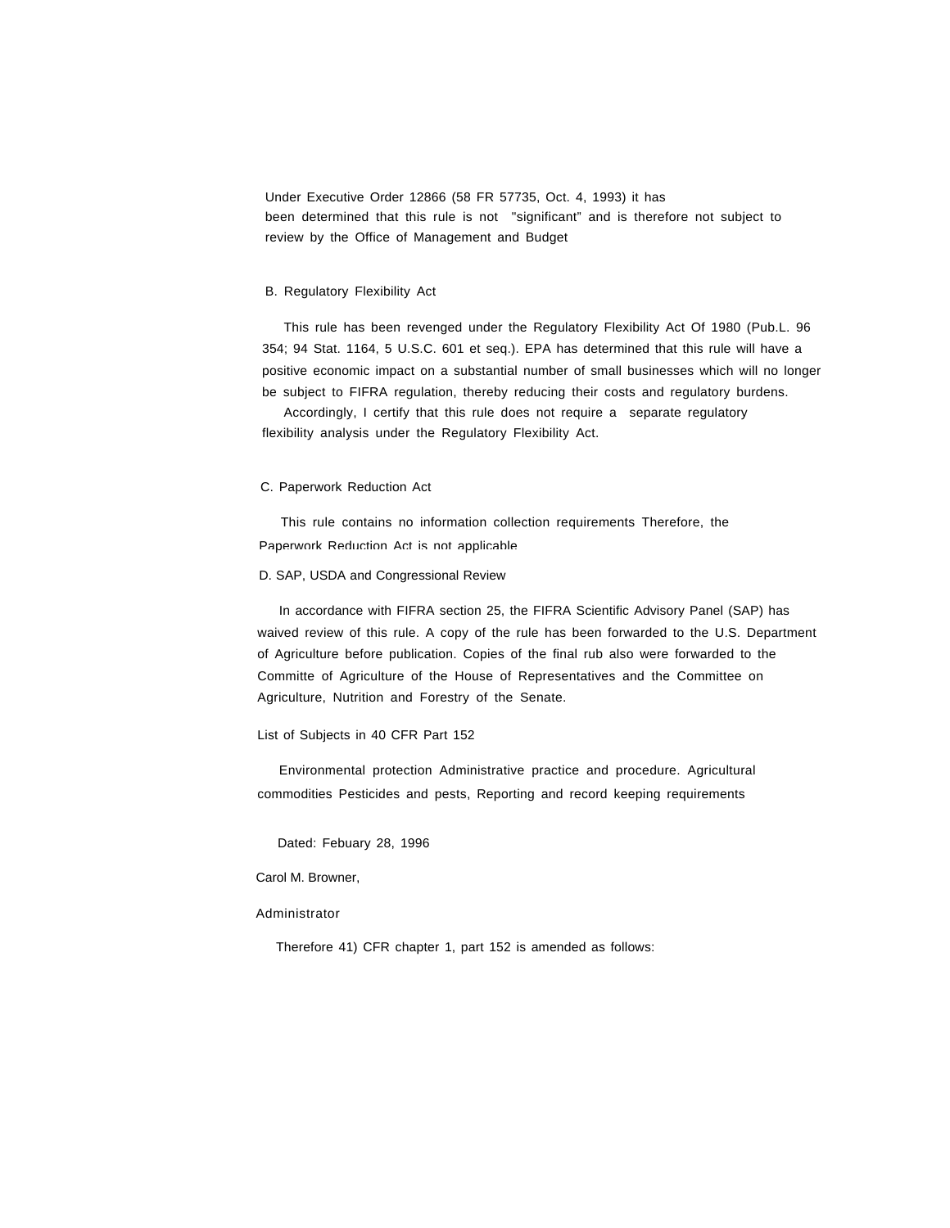Under Executive Order 12866 (58 FR 57735, Oct. 4, 1993) it has been determined that this rule is not "significant" and is therefore not subject to review by the Office of Management and Budget

## B. Regulatory Flexibility Act

This rule has been revenged under the Regulatory Flexibility Act Of 1980 (Pub.L. 96 354; 94 Stat. 1164, 5 U.S.C. 601 et seq.). EPA has determined that this rule will have a positive economic impact on a substantial number of small businesses which will no longer be subject to FIFRA regulation, thereby reducing their costs and regulatory burdens.

Accordingly, I certify that this rule does not require a separate regulatory flexibility analysis under the Regulatory Flexibility Act.

## C. Paperwork Reduction Act

This rule contains no information collection requirements Therefore, the Paperwork Reduction Act is not applicable

### D. SAP, USDA and Congressional Review

In accordance with FIFRA section 25, the FIFRA Scientific Advisory Panel (SAP) has waived review of this rule. A copy of the rule has been forwarded to the U.S. Department of Agriculture before publication. Copies of the final rub also were forwarded to the Committe of Agriculture of the House of Representatives and the Committee on Agriculture, Nutrition and Forestry of the Senate.

### List of Subjects in 40 CFR Part 152

Environmental protection Administrative practice and procedure. Agricultural commodities Pesticides and pests, Reporting and record keeping requirements

Dated: Febuary 28, 1996

# Carol M. Browner,

# Administrator

Therefore 41) CFR chapter 1, part 152 is amended as follows: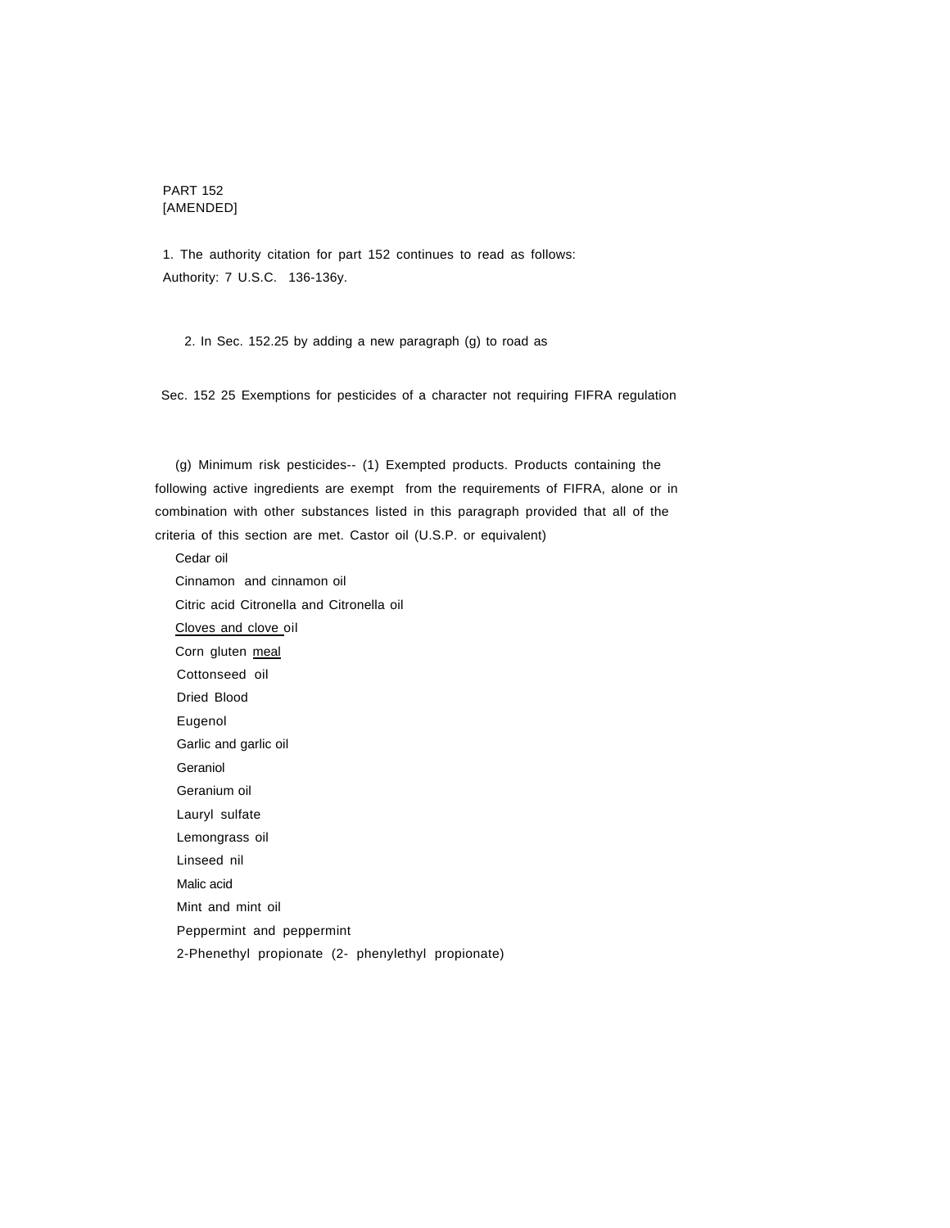# PART 152 [AMENDED]

1. The authority citation for part 152 continues to read as follows: Authority: 7 U.S.C. 136-136y.

2. In Sec. 152.25 by adding a new paragraph (g) to road as

Sec. 152 25 Exemptions for pesticides of a character not requiring FIFRA regulation

(g) Minimum risk pesticides-- (1) Exempted products. Products containing the following active ingredients are exempt from the requirements of FIFRA, alone or in combination with other substances listed in this paragraph provided that all of the criteria of this section are met. Castor oil (U.S.P. or equivalent)

Cedar oil Cinnamon and cinnamon oil Citric acid Citronella and Citronella oil Cloves and clove oil Corn gluten meal Cottonseed oil Dried Blood Eugenol Garlic and garlic oil Geraniol Geranium oil Lauryl sulfate Lemongrass oil Linseed nil Malic acid Mint and mint oil Peppermint and peppermint 2-Phenethyl propionate (2- phenylethyl propionate)